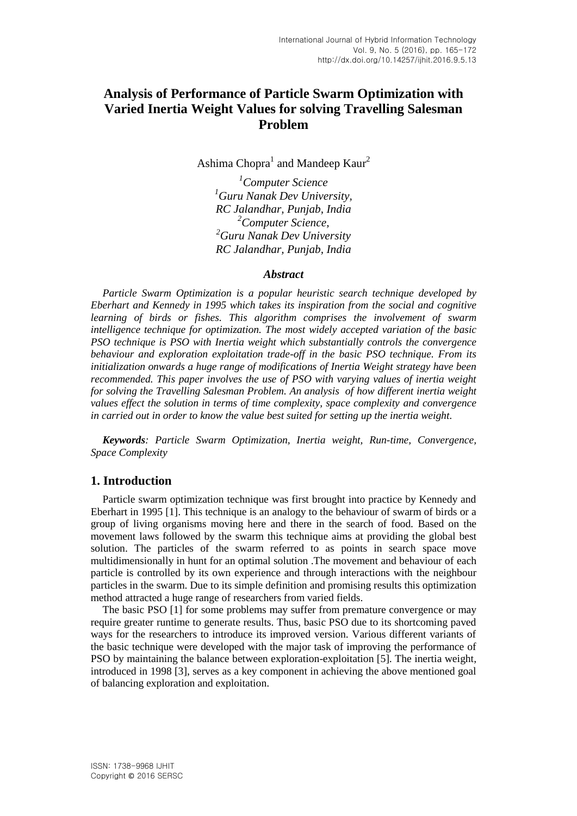# **Analysis of Performance of Particle Swarm Optimization with Varied Inertia Weight Values for solving Travelling Salesman Problem**

Ashima Chopra<sup>1</sup> and Mandeep Kaur<sup>2</sup>

*Computer Science Guru Nanak Dev University, RC Jalandhar, Punjab, India Computer Science, Guru Nanak Dev University RC Jalandhar, Punjab, India*

#### *Abstract*

*Particle Swarm Optimization is a popular heuristic search technique developed by Eberhart and Kennedy in 1995 which takes its inspiration from the social and cognitive learning of birds or fishes. This algorithm comprises the involvement of swarm intelligence technique for optimization. The most widely accepted variation of the basic PSO technique is PSO with Inertia weight which substantially controls the convergence behaviour and exploration exploitation trade-off in the basic PSO technique. From its initialization onwards a huge range of modifications of Inertia Weight strategy have been recommended. This paper involves the use of PSO with varying values of inertia weight for solving the Travelling Salesman Problem. An analysis of how different inertia weight values effect the solution in terms of time complexity, space complexity and convergence in carried out in order to know the value best suited for setting up the inertia weight.* 

*Keywords: Particle Swarm Optimization, Inertia weight, Run-time, Convergence, Space Complexity*

### **1. Introduction**

Particle swarm optimization technique was first brought into practice by Kennedy and Eberhart in 1995 [1]. This technique is an analogy to the behaviour of swarm of birds or a group of living organisms moving here and there in the search of food. Based on the movement laws followed by the swarm this technique aims at providing the global best solution. The particles of the swarm referred to as points in search space move multidimensionally in hunt for an optimal solution .The movement and behaviour of each particle is controlled by its own experience and through interactions with the neighbour particles in the swarm. Due to its simple definition and promising results this optimization method attracted a huge range of researchers from varied fields.

The basic PSO [1] for some problems may suffer from premature convergence or may require greater runtime to generate results. Thus, basic PSO due to its shortcoming paved ways for the researchers to introduce its improved version. Various different variants of the basic technique were developed with the major task of improving the performance of PSO by maintaining the balance between exploration-exploitation [5]. The inertia weight, introduced in 1998 [3], serves as a key component in achieving the above mentioned goal of balancing exploration and exploitation.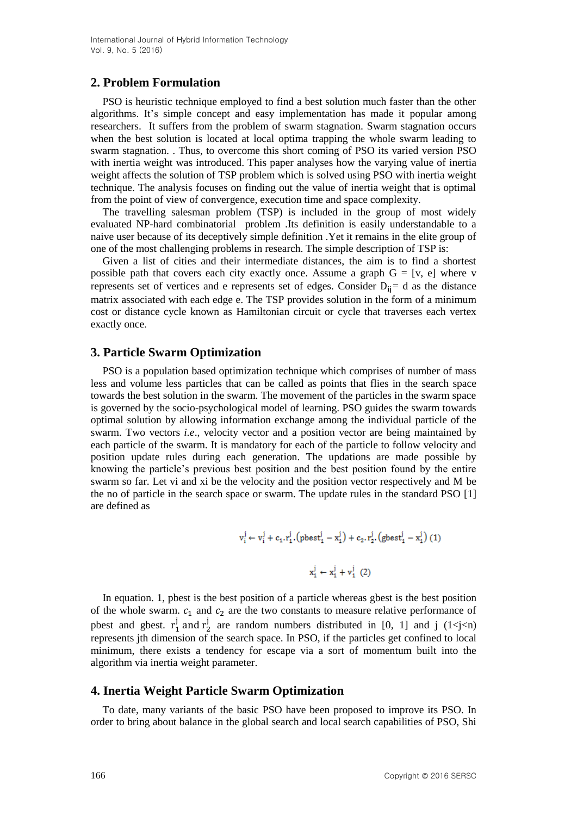### **2. Problem Formulation**

PSO is heuristic technique employed to find a best solution much faster than the other algorithms. It's simple concept and easy implementation has made it popular among researchers. It suffers from the problem of swarm stagnation. Swarm stagnation occurs when the best solution is located at local optima trapping the whole swarm leading to swarm stagnation. . Thus, to overcome this short coming of PSO its varied version PSO with inertia weight was introduced. This paper analyses how the varying value of inertia weight affects the solution of TSP problem which is solved using PSO with inertia weight technique. The analysis focuses on finding out the value of inertia weight that is optimal from the point of view of convergence, execution time and space complexity.

The travelling salesman problem (TSP) is included in the group of most widely evaluated NP-hard combinatorial problem .Its definition is easily understandable to a naive user because of its deceptively simple definition .Yet it remains in the elite group of one of the most challenging problems in research. The simple description of TSP is:

Given a list of cities and their intermediate distances, the aim is to find a shortest possible path that covers each city exactly once. Assume a graph  $G = [v, e]$  where v represents set of vertices and e represents set of edges. Consider  $D_{ij} = d$  as the distance matrix associated with each edge e. The TSP provides solution in the form of a minimum cost or distance cycle known as Hamiltonian circuit or cycle that traverses each vertex exactly once.

### **3. Particle Swarm Optimization**

PSO is a population based optimization technique which comprises of number of mass less and volume less particles that can be called as points that flies in the search space towards the best solution in the swarm. The movement of the particles in the swarm space is governed by the socio-psychological model of learning. PSO guides the swarm towards optimal solution by allowing information exchange among the individual particle of the swarm. Two vectors *i.e*., velocity vector and a position vector are being maintained by each particle of the swarm. It is mandatory for each of the particle to follow velocity and position update rules during each generation. The updations are made possible by knowing the particle's previous best position and the best position found by the entire swarm so far. Let vi and xi be the velocity and the position vector respectively and M be the no of particle in the search space or swarm. The update rules in the standard PSO [1] are defined as

$$
v_i^j \leftarrow v_i^j + c_1.r_1^j.(pbest_1^j - x_1^j) + c_2.r_2^j.(gbest_1^j - x_1^j) (1)
$$
  

$$
x_1^j \leftarrow x_1^j + v_1^j (2)
$$

In equation. 1, pbest is the best position of a particle whereas gbest is the best position of the whole swarm.  $c_1$  and  $c_2$  are the two constants to measure relative performance of pbest and gbest.  $r_1^j$  and  $r_2^j$  are random numbers distributed in [0, 1] and j (1<j<n) represents jth dimension of the search space. In PSO, if the particles get confined to local minimum, there exists a tendency for escape via a sort of momentum built into the algorithm via inertia weight parameter.

### **4. Inertia Weight Particle Swarm Optimization**

To date, many variants of the basic PSO have been proposed to improve its PSO. In order to bring about balance in the global search and local search capabilities of PSO, Shi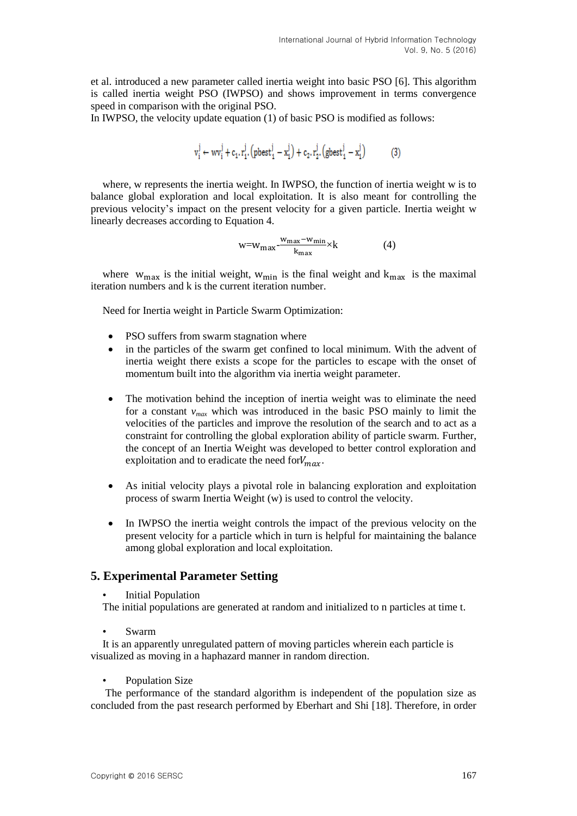et al. introduced a new parameter called inertia weight into basic PSO [6]. This algorithm is called inertia weight PSO (IWPSO) and shows improvement in terms convergence speed in comparison with the original PSO.

In IWPSO, the velocity update equation (1) of basic PSO is modified as follows:

$$
v_i^j \leftarrow w v_i^j + c_1 . r_1^j . \big( \text{pbest}_1^j - x_1^j \big) + c_2 . r_2^j . \big( \text{gbest}_1^j - x_1^j \big) \hspace{1cm} (3)
$$

where, w represents the inertia weight. In IWPSO, the function of inertia weight w is to balance global exploration and local exploitation. It is also meant for controlling the previous velocity's impact on the present velocity for a given particle. Inertia weight w linearly decreases according to Equation 4.

$$
w = w_{\text{max}} - \frac{w_{\text{max}} - w_{\text{min}}}{k_{\text{max}}} \times k \tag{4}
$$

where  $w_{\text{max}}$  is the initial weight,  $w_{\text{min}}$  is the final weight and  $k_{\text{max}}$  is the maximal iteration numbers and k is the current iteration number.

Need for Inertia weight in Particle Swarm Optimization:

- PSO suffers from swarm stagnation where
- in the particles of the swarm get confined to local minimum. With the advent of inertia weight there exists a scope for the particles to escape with the onset of momentum built into the algorithm via inertia weight parameter.
- The motivation behind the inception of inertia weight was to eliminate the need for a constant  $v_{max}$  which was introduced in the basic PSO mainly to limit the velocities of the particles and improve the resolution of the search and to act as a constraint for controlling the global exploration ability of particle swarm. Further, the concept of an Inertia Weight was developed to better control exploration and exploitation and to eradicate the need for  $V_{max}$ .
- As initial velocity plays a pivotal role in balancing exploration and exploitation process of swarm Inertia Weight (w) is used to control the velocity.
- In IWPSO the inertia weight controls the impact of the previous velocity on the present velocity for a particle which in turn is helpful for maintaining the balance among global exploration and local exploitation.

### **5. Experimental Parameter Setting**

• Initial Population

The initial populations are generated at random and initialized to n particles at time t.

• Swarm

It is an apparently unregulated pattern of moving particles wherein each particle is visualized as moving in a haphazard manner in random direction.

Population Size

The performance of the standard algorithm is independent of the population size as concluded from the past research performed by Eberhart and Shi [18]. Therefore, in order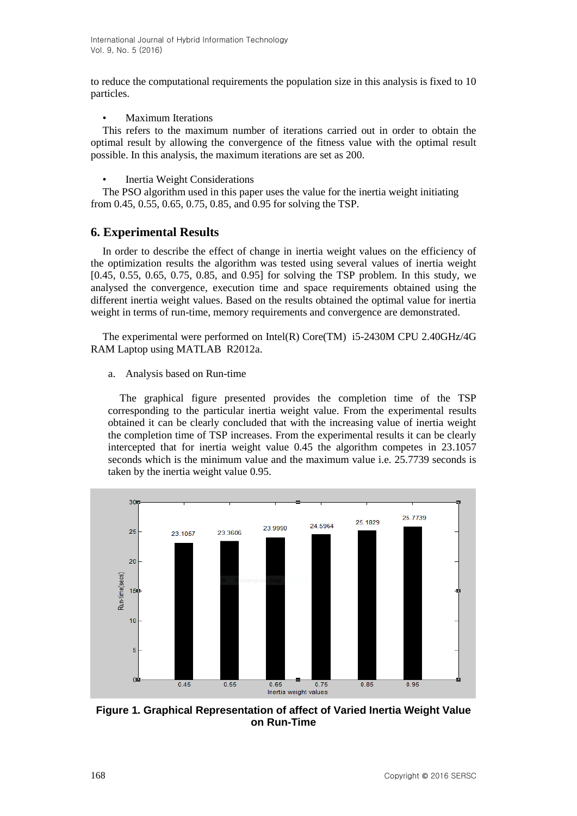to reduce the computational requirements the population size in this analysis is fixed to 10 particles.

• Maximum Iterations

This refers to the maximum number of iterations carried out in order to obtain the optimal result by allowing the convergence of the fitness value with the optimal result possible. In this analysis, the maximum iterations are set as 200.

• Inertia Weight Considerations

The PSO algorithm used in this paper uses the value for the inertia weight initiating from 0.45, 0.55, 0.65, 0.75, 0.85, and 0.95 for solving the TSP.

# **6. Experimental Results**

In order to describe the effect of change in inertia weight values on the efficiency of the optimization results the algorithm was tested using several values of inertia weight [0.45, 0.55, 0.65, 0.75, 0.85, and 0.95] for solving the TSP problem. In this study, we analysed the convergence, execution time and space requirements obtained using the different inertia weight values. Based on the results obtained the optimal value for inertia weight in terms of run-time, memory requirements and convergence are demonstrated.

The experimental were performed on Intel(R) Core(TM) i5-2430M CPU 2.40GHz/4G RAM Laptop using MATLAB R2012a.

a. Analysis based on Run-time

The graphical figure presented provides the completion time of the TSP corresponding to the particular inertia weight value. From the experimental results obtained it can be clearly concluded that with the increasing value of inertia weight the completion time of TSP increases. From the experimental results it can be clearly intercepted that for inertia weight value 0.45 the algorithm competes in 23.1057 seconds which is the minimum value and the maximum value i.e. 25.7739 seconds is taken by the inertia weight value 0.95.



**Figure 1. Graphical Representation of affect of Varied Inertia Weight Value on Run-Time**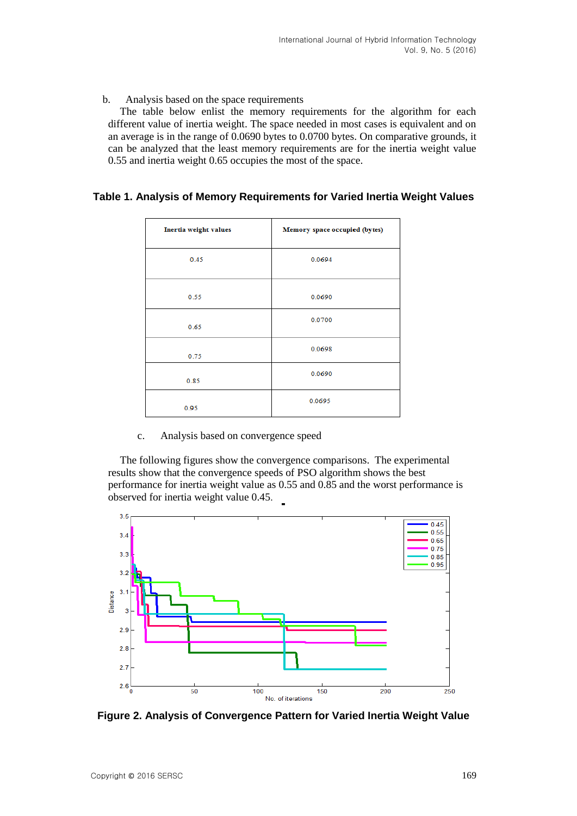#### b. Analysis based on the space requirements

The table below enlist the memory requirements for the algorithm for each different value of inertia weight. The space needed in most cases is equivalent and on an average is in the range of 0.0690 bytes to 0.0700 bytes. On comparative grounds, it can be analyzed that the least memory requirements are for the inertia weight value 0.55 and inertia weight 0.65 occupies the most of the space.

## **Table 1. Analysis of Memory Requirements for Varied Inertia Weight Values**

| Inertia weight values | Memory space occupied (bytes) |
|-----------------------|-------------------------------|
| 0.45                  | 0.0694                        |
| 0.55                  | 0.0690                        |
| 0.65                  | 0.0700                        |
| 0.75                  | 0.0698                        |
| 0.85                  | 0.0690                        |
| 0.95                  | 0.0695                        |

### c. Analysis based on convergence speed

The following figures show the convergence comparisons. The experimental results show that the convergence speeds of PSO algorithm shows the best performance for inertia weight value as 0.55 and 0.85 and the worst performance is observed for inertia weight value 0.45.



**Figure 2. Analysis of Convergence Pattern for Varied Inertia Weight Value**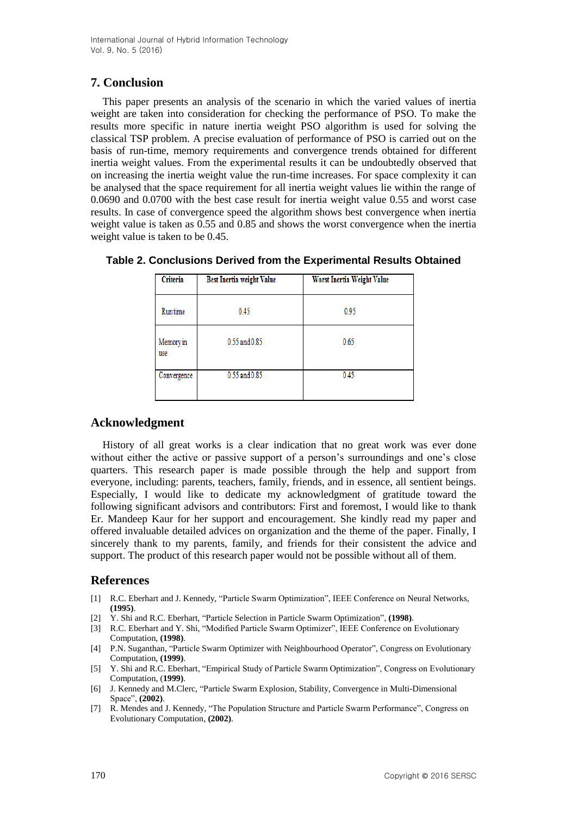# **7. Conclusion**

This paper presents an analysis of the scenario in which the varied values of inertia weight are taken into consideration for checking the performance of PSO. To make the results more specific in nature inertia weight PSO algorithm is used for solving the classical TSP problem. A precise evaluation of performance of PSO is carried out on the basis of run-time, memory requirements and convergence trends obtained for different inertia weight values. From the experimental results it can be undoubtedly observed that on increasing the inertia weight value the run-time increases. For space complexity it can be analysed that the space requirement for all inertia weight values lie within the range of 0.0690 and 0.0700 with the best case result for inertia weight value 0.55 and worst case results. In case of convergence speed the algorithm shows best convergence when inertia weight value is taken as 0.55 and 0.85 and shows the worst convergence when the inertia weight value is taken to be 0.45.

| Criteria         | Best Inertia weight Value | Worst Inertia Weight Value |
|------------------|---------------------------|----------------------------|
| Runtime          | 0.45                      | 0.95                       |
| Memory in<br>use | 0.55 and 0.85             | 0.65                       |
| Convergence      | 0.55 and 0.85             | 0.45                       |

**Table 2. Conclusions Derived from the Experimental Results Obtained**

## **Acknowledgment**

History of all great works is a clear indication that no great work was ever done without either the active or passive support of a person's surroundings and one's close quarters. This research paper is made possible through the help and support from everyone, including: parents, teachers, family, friends, and in essence, all sentient beings. Especially, I would like to dedicate my acknowledgment of gratitude toward the following significant advisors and contributors: First and foremost, I would like to thank Er. Mandeep Kaur for her support and encouragement. She kindly read my paper and offered invaluable detailed advices on organization and the theme of the paper. Finally, I sincerely thank to my parents, family, and friends for their consistent the advice and support. The product of this research paper would not be possible without all of them.

## **References**

- [1] R.C. Eberhart and J. Kennedy, "Particle Swarm Optimization", IEEE Conference on Neural Networks, **(1995)**.
- [2] Y. Shi and R.C. Eberhart, "Particle Selection in Particle Swarm Optimization", **(1998)**.
- [3] R.C. Eberhart and Y. Shi, "Modified Particle Swarm Optimizer", IEEE Conference on Evolutionary Computation, **(1998)**.
- [4] P.N. Suganthan, "Particle Swarm Optimizer with Neighbourhood Operator", Congress on Evolutionary Computation, **(1999)**.
- [5] Y. Shi and R.C. Eberhart, "Empirical Study of Particle Swarm Optimization", Congress on Evolutionary Computation, (**1999)**.
- [6] J. Kennedy and M.Clerc, "Particle Swarm Explosion, Stability, Convergence in Multi-Dimensional Space", **(2002)**.
- [7] R. Mendes and J. Kennedy, "The Population Structure and Particle Swarm Performance", Congress on Evolutionary Computation, **(2002)**.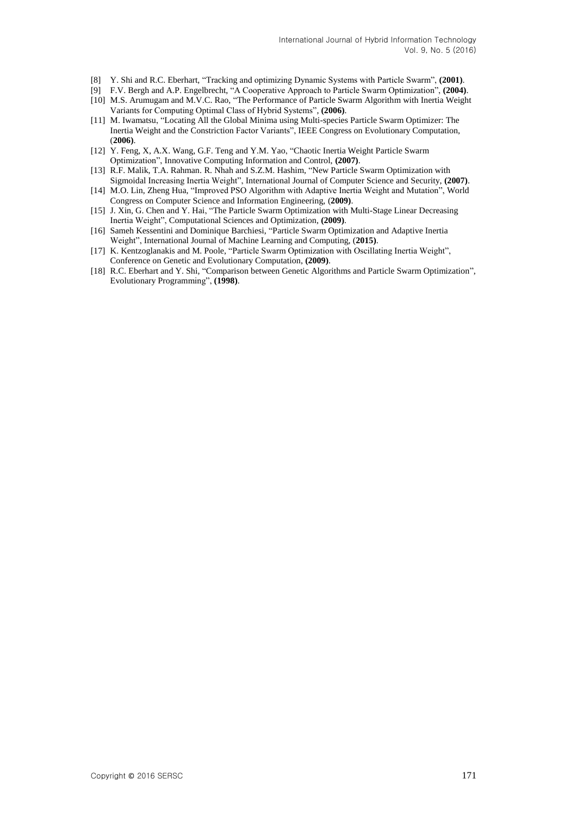- [8] Y. Shi and R.C. Eberhart, "Tracking and optimizing Dynamic Systems with Particle Swarm", **(2001)**.
- [9] F.V. Bergh and A.P. Engelbrecht, "A Cooperative Approach to Particle Swarm Optimization", **(2004)**.
- [10] M.S. Arumugam and M.V.C. Rao, "The Performance of Particle Swarm Algorithm with Inertia Weight Variants for Computing Optimal Class of Hybrid Systems", **(2006)**.
- [11] M. Iwamatsu, "Locating All the Global Minima using Multi-species Particle Swarm Optimizer: The Inertia Weight and the Constriction Factor Variants", IEEE Congress on Evolutionary Computation, (**2006)**.
- [12] Y. Feng, X, A.X. Wang, G.F. Teng and Y.M. Yao, "Chaotic Inertia Weight Particle Swarm Optimization", Innovative Computing Information and Control, **(2007)**.
- [13] R.F. Malik, T.A. Rahman. R. Nhah and S.Z.M. Hashim, "New Particle Swarm Optimization with Sigmoidal Increasing Inertia Weight", International Journal of Computer Science and Security, **(2007)**.
- [14] M.O. Lin, Zheng Hua, "Improved PSO Algorithm with Adaptive Inertia Weight and Mutation", World Congress on Computer Science and Information Engineering, (**2009)**.
- [15] J. Xin, G. Chen and Y. Hai, "The Particle Swarm Optimization with Multi-Stage Linear Decreasing Inertia Weight", Computational Sciences and Optimization, **(2009)**.
- [16] Sameh Kessentini and Dominique Barchiesi, "Particle Swarm Optimization and Adaptive Inertia Weight", International Journal of Machine Learning and Computing, (**2015)**.
- [17] K. Kentzoglanakis and M. Poole, "Particle Swarm Optimization with Oscillating Inertia Weight", Conference on Genetic and Evolutionary Computation, **(2009)**.
- [18] R.C. Eberhart and Y. Shi, "Comparison between Genetic Algorithms and Particle Swarm Optimization", Evolutionary Programming", **(1998)**.